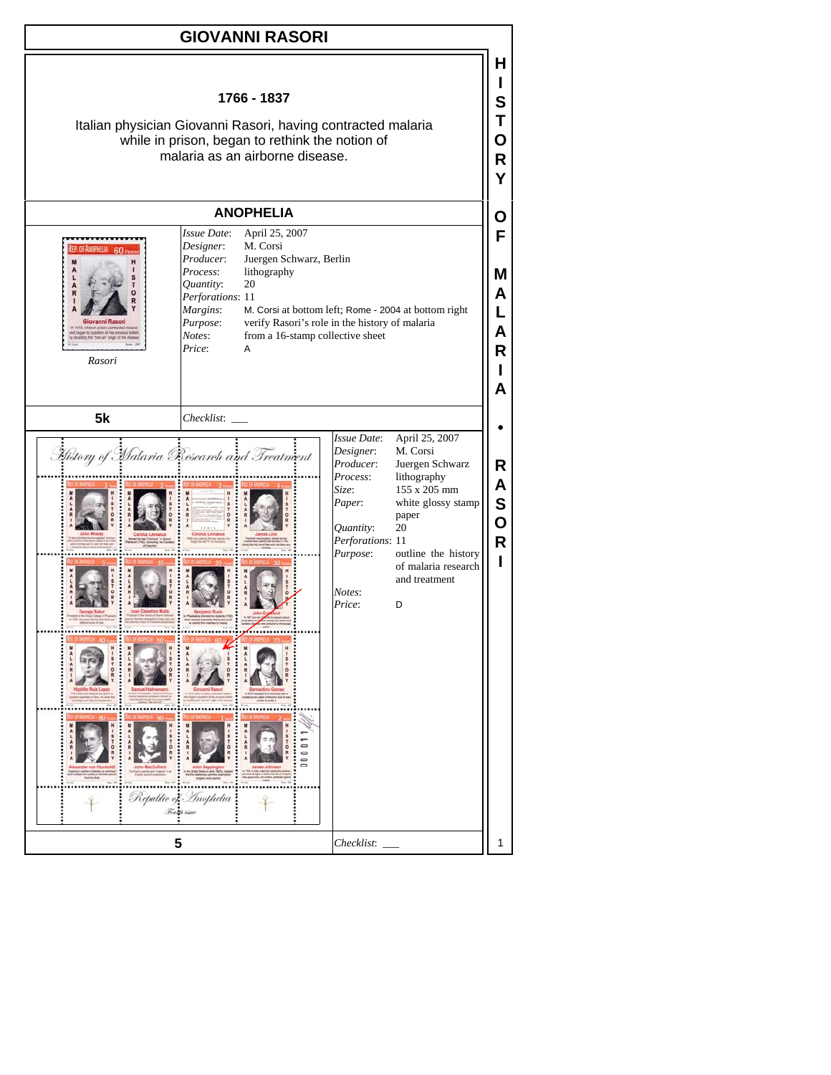